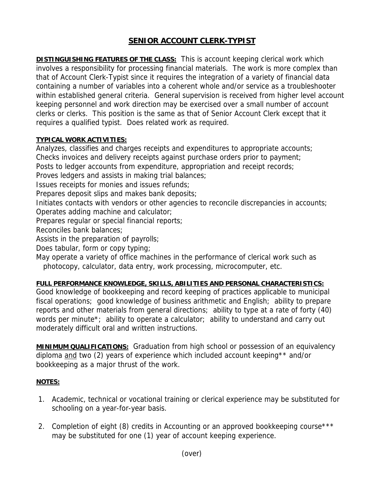## **SENIOR ACCOUNT CLERK-TYPIST**

**DISTINGUISHING FEATURES OF THE CLASS:** This is account keeping clerical work which involves a responsibility for processing financial materials. The work is more complex than that of Account Clerk-Typist since it requires the integration of a variety of financial data containing a number of variables into a coherent whole and/or service as a troubleshooter within established general criteria. General supervision is received from higher level account keeping personnel and work direction may be exercised over a small number of account clerks or clerks. This position is the same as that of Senior Account Clerk except that it requires a qualified typist. Does related work as required.

## **TYPICAL WORK ACTIVITIES:**

Analyzes, classifies and charges receipts and expenditures to appropriate accounts; Checks invoices and delivery receipts against purchase orders prior to payment; Posts to ledger accounts from expenditure, appropriation and receipt records;

Proves ledgers and assists in making trial balances;

Issues receipts for monies and issues refunds;

Prepares deposit slips and makes bank deposits;

Initiates contacts with vendors or other agencies to reconcile discrepancies in accounts; Operates adding machine and calculator;

Prepares regular or special financial reports;

Reconciles bank balances;

Assists in the preparation of payrolls;

Does tabular, form or copy typing;

May operate a variety of office machines in the performance of clerical work such as photocopy, calculator, data entry, work processing, microcomputer, etc.

## **FULL PERFORMANCE KNOWLEDGE, SKILLS, ABILITIES AND PERSONAL CHARACTERISTICS:**

Good knowledge of bookkeeping and record keeping of practices applicable to municipal fiscal operations; good knowledge of business arithmetic and English; ability to prepare reports and other materials from general directions; ability to type at a rate of forty (40) words per minute<sup>\*</sup>; ability to operate a calculator; ability to understand and carry out moderately difficult oral and written instructions.

**MINIMUM QUALIFICATIONS:** Graduation from high school or possession of an equivalency diploma and two (2) years of experience which included account keeping\*\* and/or bookkeeping as a major thrust of the work.

## **NOTES:**

- 1. Academic, technical or vocational training or clerical experience may be substituted for schooling on a year-for-year basis.
- 2. Completion of eight (8) credits in Accounting or an approved bookkeeping course\*\*\* may be substituted for one (1) year of account keeping experience.